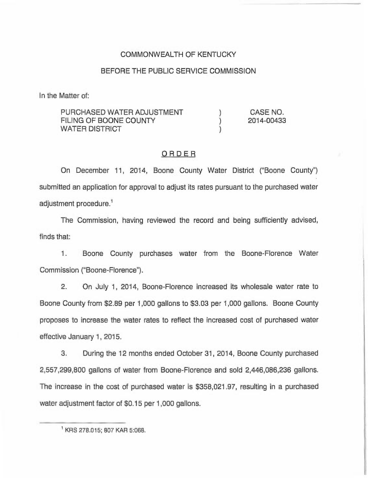## COMMONWEALTH OF KENTUCKY

## BEFORE THE PUBLIC SERVICE COMMISSION

In the Matter of:

| PURCHASED WATER ADJUSTMENT | CASE NO.   |
|----------------------------|------------|
| FILING OF BOONE COUNTY     | 2014-00433 |
| WATER DISTRICT             |            |
|                            |            |

## ORDER

On December 11, 2014, Boone County Water District ("Boone County") submitted an application for approval to adjust its rates pursuant to the purchased water adjustment procedure.<sup>1</sup>

Commission, having reviewed the record and being sufficiently advised, finds that:

1. Boone County purchases water from the Boone-Florence Water Commission ("Boone-Florence").

2. On July 1, 2014, Boone-Florence increased its wholesale water rate to Boone County from \$2.89 per 1,000 gallons to \$3.03 per 1,000 gallons. Boone County proposes to increase the water rates to reflect the increased cost of purchased water effective January 1, 2015.

3. During the 12 months ended October 31, 2014, Boone County purchased 2,557,299,800 gallons of water from Boone-Florence and sold 2,446,086,236 gallons, The increase in the cost of purchased water is \$358,021,97, resulting in a purchased water adjustment factor of \$0.15 per 1,000 gallons.

<sup>&</sup>lt;sup>1</sup> KRS 278.015; 807 KAR 5:068.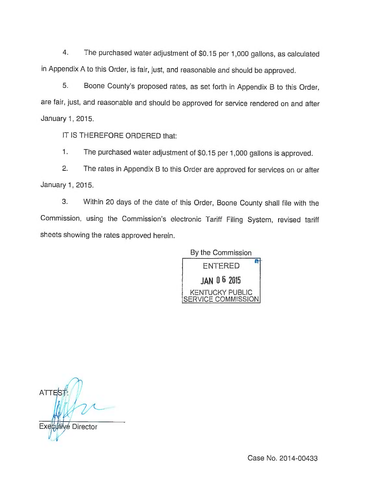4. The purchased water adjustment of \$0.15 per 1,000 gallons, as calculated in Appendix <sup>A</sup> to this Order, is fair, just, and reasonable and should be approved.

5. Boone County's proposed rates, as set forth in Appendix B to this Order, are fair, just, and reasonable and should be approved for service rendered on and after January 1, 2015.

IT IS THEREFORE ORDERED that:

1. The purchased water adjustment of \$0.15 per 1,000 gallons is approved.

2. The rates in Appendix B to this Order are approved for services on or after January 1, 2015.

3. Within 20 days of the date of this Order, Boone County shall file with the Commission, using the Commission's electronic Tariff Filing System, revised tariff sheets showing the rates approved herein.

> By the Commission **ENTERED** JAN 0 6 2015 **KENTUCKY PUBLIC VICE COMMISSION**

**ATTES Director**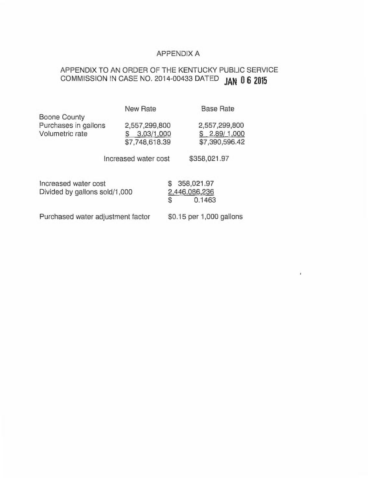## APPENDIX A

 $\mathfrak{g}$ 

# APPENDIX TO AN ORDER OF THE KENTUCKY PUBLIC SERVICE COMMISSION IN CASE NO. 2014-00433  $\textsf{DATED}$   $\textsf{JAN}$   $\textsf{0.6}$   $\textsf{2015}$

| Boone County                                          | <b>New Rate</b>                                    | <b>Base Rate</b>                                    |  |  |  |
|-------------------------------------------------------|----------------------------------------------------|-----------------------------------------------------|--|--|--|
| Purchases in gallons<br>Volumetric rate               | 2,557,299,800<br>3.03/1,000<br>S<br>\$7,748,618.39 | 2,557,299,800<br>2.89/1,000<br>S.<br>\$7,390,596.42 |  |  |  |
| \$358,021.97<br>Increased water cost                  |                                                    |                                                     |  |  |  |
| Increased water cost<br>Divided by gallons sold/1,000 |                                                    | 358,021.97<br>S<br>2,446,086,236<br>\$<br>0.1463    |  |  |  |
| Purchased water adjustment factor                     |                                                    | \$0.15 per 1,000 gallons                            |  |  |  |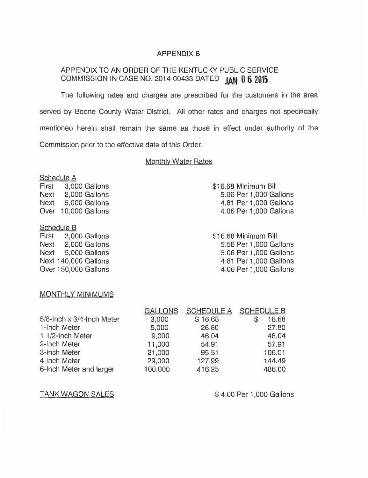## APPENDIX B

## APPENDIX TO AN ORDER OF THE KENTUCKY PUBLIC SERVICE COMMISSION IN CASE NO. 2014-00433 DATED JAN 0 6 2015

The following rates and charges are prescribed for the customers in the area served by Boone County Water District. All other rates and charges not specifically mentioned herein shall remain the same as those in effect under authority of the Commission prior to the effective date of this Order.

## Monthly Water Rates

Schedule A

First 3,000 Gallons Next 2,000 Gallons Next 5,000 Gallons Over 10,000 Gallons

#### Schedule B

First 3,000 Gallons Next 2,000 Gallons Next 5,000 Gallons Next 140,000 Gallons Over 150,000 Gallons

## \$16.68 Minimum Bill 5.06 Per 1,000 Gallons 4.81 Per 1,000 Gallons 4.06 Per 1,000 Gallons

\$16.68 Minimum Bill 5.56 Per 1,000 Gallons 5.06 Per 1,000 Gallons 4.81 Per 1,000 Gallons 4.06 Per 1,000 Gallons

#### MONTHLY MINIMUMS

|                           | <b>GALLONS</b> | <b>SCHEDULE A</b> | <b>SCHEDULE B</b> |
|---------------------------|----------------|-------------------|-------------------|
| 5/8-Inch x 3/4-Inch Meter | 3,000          | \$16.68           | 16.68<br>S        |
| 1-Inch Meter              | 5,000          | 26.80             | 27.80             |
| 1 1/2-Inch Meter          | 9,000          | 46.04             | 48.04             |
| 2-Inch Meter              | 11,000         | 54.91             | 57.91             |
| 3-Inch Meter              | 21,000         | 95.51             | 106.01            |
| 4-Inch Meter              | 29,000         | 127.99            | 144.49            |
| 6-Inch Meter and larger   | 100,000        | 416.25            | 486.00            |
|                           |                |                   |                   |

TANK WAGON SALES \$4.00 Per 1,000 Gallons